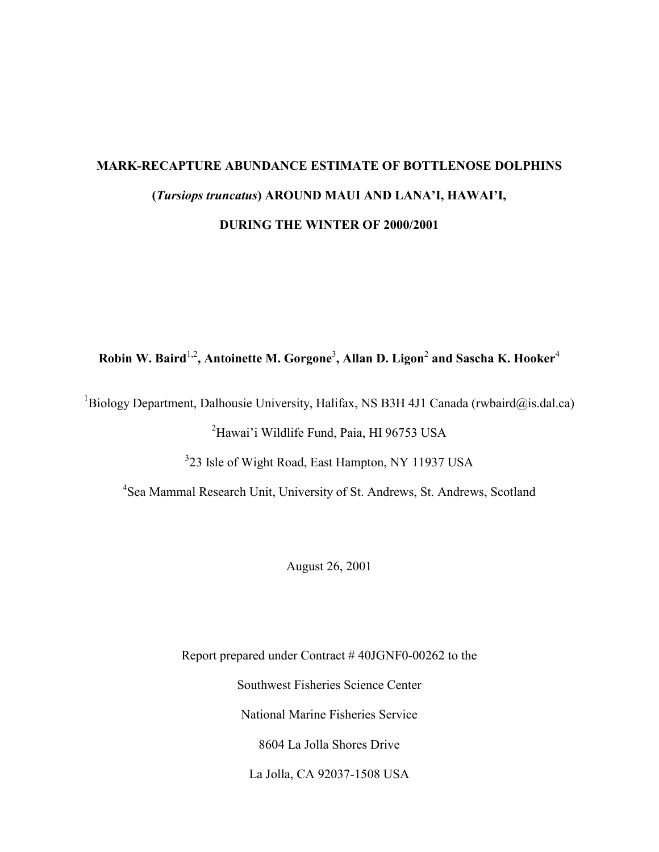# **MARK-RECAPTURE ABUNDANCE ESTIMATE OF BOTTLENOSE DOLPHINS (***Tursiops truncatus***) AROUND MAUI AND LANA'I, HAWAI'I, DURING THE WINTER OF 2000/2001**

# **Robin W. Baird**1,2**, Antoinette M. Gorgone**<sup>3</sup> **, Allan D. Ligon**<sup>2</sup>  **and Sascha K. Hooker**<sup>4</sup>

<sup>1</sup>Biology Department, Dalhousie University, Halifax, NS B3H 4J1 Canada (rwbaird@is.dal.ca)

<sup>2</sup>Hawai'i Wildlife Fund, Paia, HI 96753 USA

<sup>3</sup>23 Isle of Wight Road, East Hampton, NY 11937 USA

4 Sea Mammal Research Unit, University of St. Andrews, St. Andrews, Scotland

August 26, 2001

Report prepared under Contract # 40JGNF0-00262 to the Southwest Fisheries Science Center National Marine Fisheries Service 8604 La Jolla Shores Drive La Jolla, CA 92037-1508 USA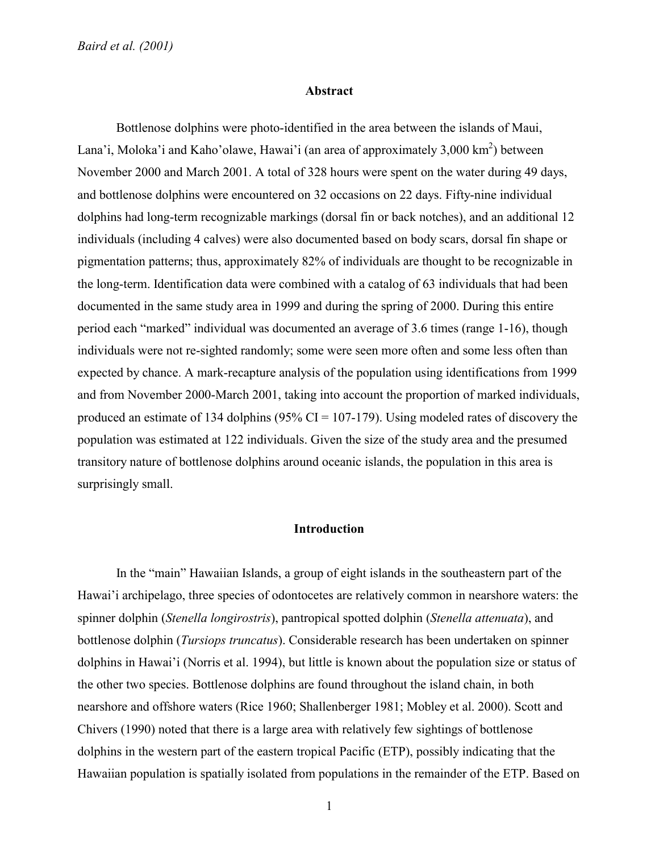*Baird et al. (2001)* 

#### **Abstract**

Bottlenose dolphins were photo-identified in the area between the islands of Maui, Lana'i, Moloka'i and Kaho'olawe, Hawai'i (an area of approximately 3,000 km<sup>2</sup>) between November 2000 and March 2001. A total of 328 hours were spent on the water during 49 days, and bottlenose dolphins were encountered on 32 occasions on 22 days. Fifty-nine individual dolphins had long-term recognizable markings (dorsal fin or back notches), and an additional 12 individuals (including 4 calves) were also documented based on body scars, dorsal fin shape or pigmentation patterns; thus, approximately 82% of individuals are thought to be recognizable in the long-term. Identification data were combined with a catalog of 63 individuals that had been documented in the same study area in 1999 and during the spring of 2000. During this entire period each "marked" individual was documented an average of 3.6 times (range 1-16), though individuals were not re-sighted randomly; some were seen more often and some less often than expected by chance. A mark-recapture analysis of the population using identifications from 1999 and from November 2000-March 2001, taking into account the proportion of marked individuals, produced an estimate of 134 dolphins ( $95\%$  CI = 107-179). Using modeled rates of discovery the population was estimated at 122 individuals. Given the size of the study area and the presumed transitory nature of bottlenose dolphins around oceanic islands, the population in this area is surprisingly small.

# **Introduction**

In the "main" Hawaiian Islands, a group of eight islands in the southeastern part of the Hawai'i archipelago, three species of odontocetes are relatively common in nearshore waters: the spinner dolphin (*Stenella longirostris*), pantropical spotted dolphin (*Stenella attenuata*), and bottlenose dolphin (*Tursiops truncatus*). Considerable research has been undertaken on spinner dolphins in Hawai'i (Norris et al. 1994), but little is known about the population size or status of the other two species. Bottlenose dolphins are found throughout the island chain, in both nearshore and offshore waters (Rice 1960; Shallenberger 1981; Mobley et al. 2000). Scott and Chivers (1990) noted that there is a large area with relatively few sightings of bottlenose dolphins in the western part of the eastern tropical Pacific (ETP), possibly indicating that the Hawaiian population is spatially isolated from populations in the remainder of the ETP. Based on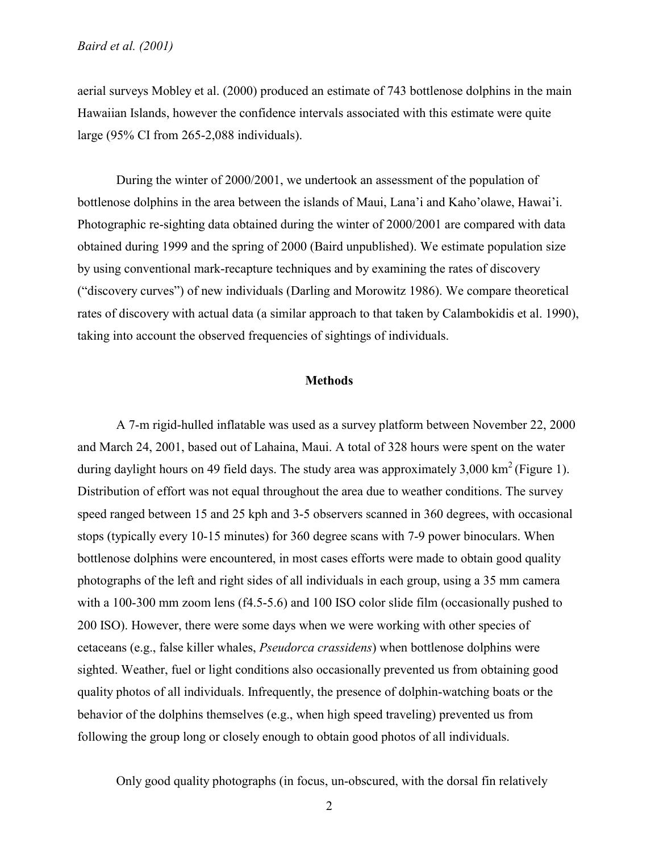aerial surveys Mobley et al. (2000) produced an estimate of 743 bottlenose dolphins in the main Hawaiian Islands, however the confidence intervals associated with this estimate were quite large (95% CI from 265-2,088 individuals).

During the winter of 2000/2001, we undertook an assessment of the population of bottlenose dolphins in the area between the islands of Maui, Lana'i and Kaho'olawe, Hawai'i. Photographic re-sighting data obtained during the winter of 2000/2001 are compared with data obtained during 1999 and the spring of 2000 (Baird unpublished). We estimate population size by using conventional mark-recapture techniques and by examining the rates of discovery ("discovery curves") of new individuals (Darling and Morowitz 1986). We compare theoretical rates of discovery with actual data (a similar approach to that taken by Calambokidis et al. 1990), taking into account the observed frequencies of sightings of individuals.

#### **Methods**

A 7-m rigid-hulled inflatable was used as a survey platform between November 22, 2000 and March 24, 2001, based out of Lahaina, Maui. A total of 328 hours were spent on the water during daylight hours on 49 field days. The study area was approximately 3,000  $\text{km}^2$  (Figure 1). Distribution of effort was not equal throughout the area due to weather conditions. The survey speed ranged between 15 and 25 kph and 3-5 observers scanned in 360 degrees, with occasional stops (typically every 10-15 minutes) for 360 degree scans with 7-9 power binoculars. When bottlenose dolphins were encountered, in most cases efforts were made to obtain good quality photographs of the left and right sides of all individuals in each group, using a 35 mm camera with a 100-300 mm zoom lens (f4.5-5.6) and 100 ISO color slide film (occasionally pushed to 200 ISO). However, there were some days when we were working with other species of cetaceans (e.g., false killer whales, *Pseudorca crassidens*) when bottlenose dolphins were sighted. Weather, fuel or light conditions also occasionally prevented us from obtaining good quality photos of all individuals. Infrequently, the presence of dolphin-watching boats or the behavior of the dolphins themselves (e.g., when high speed traveling) prevented us from following the group long or closely enough to obtain good photos of all individuals.

Only good quality photographs (in focus, un-obscured, with the dorsal fin relatively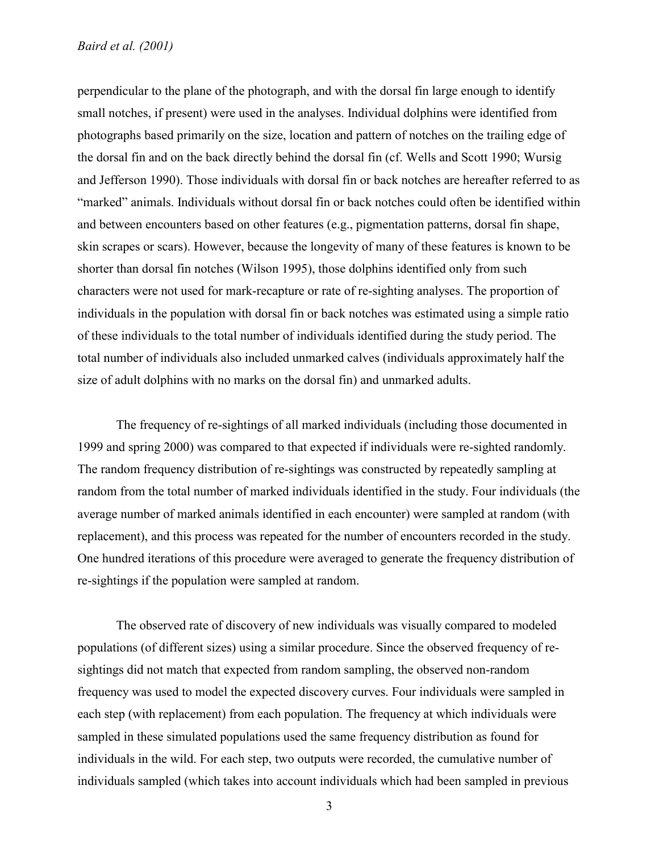### *Baird et al. (2001)*

perpendicular to the plane of the photograph, and with the dorsal fin large enough to identify small notches, if present) were used in the analyses. Individual dolphins were identified from photographs based primarily on the size, location and pattern of notches on the trailing edge of the dorsal fin and on the back directly behind the dorsal fin (cf. Wells and Scott 1990; Wursig and Jefferson 1990). Those individuals with dorsal fin or back notches are hereafter referred to as "marked" animals. Individuals without dorsal fin or back notches could often be identified within and between encounters based on other features (e.g., pigmentation patterns, dorsal fin shape, skin scrapes or scars). However, because the longevity of many of these features is known to be shorter than dorsal fin notches (Wilson 1995), those dolphins identified only from such characters were not used for mark-recapture or rate of re-sighting analyses. The proportion of individuals in the population with dorsal fin or back notches was estimated using a simple ratio of these individuals to the total number of individuals identified during the study period. The total number of individuals also included unmarked calves (individuals approximately half the size of adult dolphins with no marks on the dorsal fin) and unmarked adults.

The frequency of re-sightings of all marked individuals (including those documented in 1999 and spring 2000) was compared to that expected if individuals were re-sighted randomly. The random frequency distribution of re-sightings was constructed by repeatedly sampling at random from the total number of marked individuals identified in the study. Four individuals (the average number of marked animals identified in each encounter) were sampled at random (with replacement), and this process was repeated for the number of encounters recorded in the study. One hundred iterations of this procedure were averaged to generate the frequency distribution of re-sightings if the population were sampled at random.

The observed rate of discovery of new individuals was visually compared to modeled populations (of different sizes) using a similar procedure. Since the observed frequency of resightings did not match that expected from random sampling, the observed non-random frequency was used to model the expected discovery curves. Four individuals were sampled in each step (with replacement) from each population. The frequency at which individuals were sampled in these simulated populations used the same frequency distribution as found for individuals in the wild. For each step, two outputs were recorded, the cumulative number of individuals sampled (which takes into account individuals which had been sampled in previous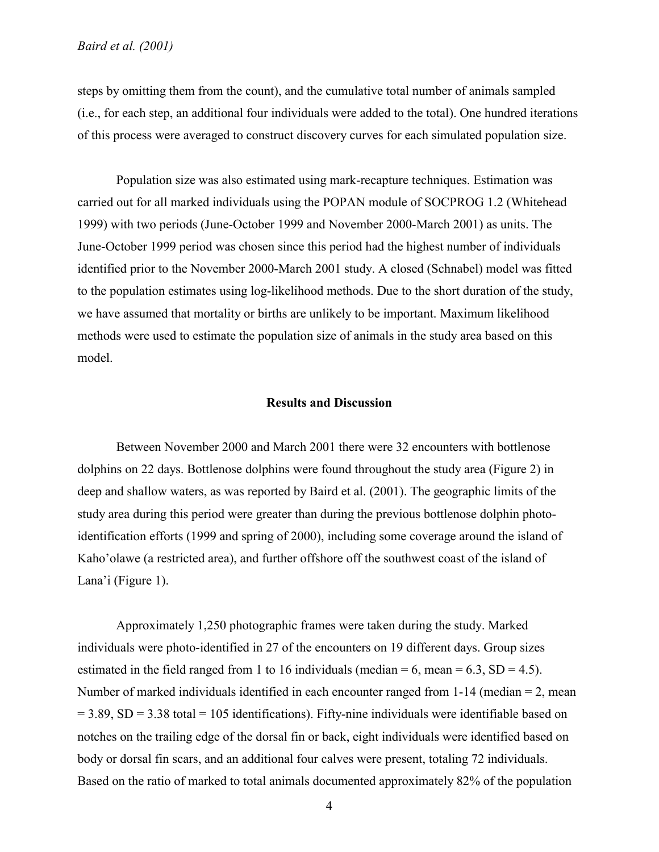steps by omitting them from the count), and the cumulative total number of animals sampled (i.e., for each step, an additional four individuals were added to the total). One hundred iterations of this process were averaged to construct discovery curves for each simulated population size.

Population size was also estimated using mark-recapture techniques. Estimation was carried out for all marked individuals using the POPAN module of SOCPROG 1.2 (Whitehead 1999) with two periods (June-October 1999 and November 2000-March 2001) as units. The June-October 1999 period was chosen since this period had the highest number of individuals identified prior to the November 2000-March 2001 study. A closed (Schnabel) model was fitted to the population estimates using log-likelihood methods. Due to the short duration of the study, we have assumed that mortality or births are unlikely to be important. Maximum likelihood methods were used to estimate the population size of animals in the study area based on this model.

# **Results and Discussion**

Between November 2000 and March 2001 there were 32 encounters with bottlenose dolphins on 22 days. Bottlenose dolphins were found throughout the study area (Figure 2) in deep and shallow waters, as was reported by Baird et al. (2001). The geographic limits of the study area during this period were greater than during the previous bottlenose dolphin photoidentification efforts (1999 and spring of 2000), including some coverage around the island of Kaho'olawe (a restricted area), and further offshore off the southwest coast of the island of Lana'i (Figure 1).

Approximately 1,250 photographic frames were taken during the study. Marked individuals were photo-identified in 27 of the encounters on 19 different days. Group sizes estimated in the field ranged from 1 to 16 individuals (median  $= 6$ , mean  $= 6.3$ , SD  $= 4.5$ ). Number of marked individuals identified in each encounter ranged from 1-14 (median = 2, mean  $= 3.89$ , SD = 3.38 total = 105 identifications). Fifty-nine individuals were identifiable based on notches on the trailing edge of the dorsal fin or back, eight individuals were identified based on body or dorsal fin scars, and an additional four calves were present, totaling 72 individuals. Based on the ratio of marked to total animals documented approximately 82% of the population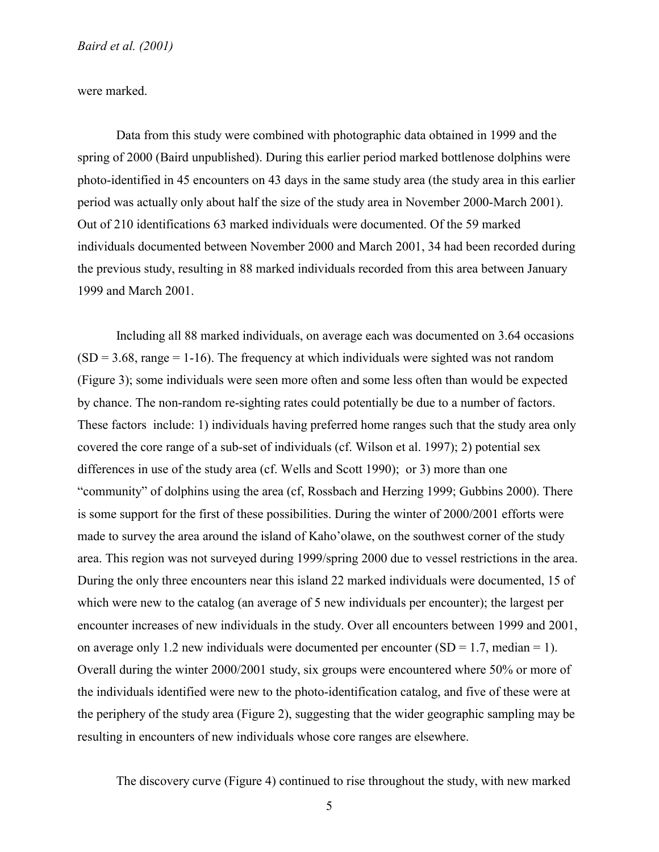were marked.

Data from this study were combined with photographic data obtained in 1999 and the spring of 2000 (Baird unpublished). During this earlier period marked bottlenose dolphins were photo-identified in 45 encounters on 43 days in the same study area (the study area in this earlier period was actually only about half the size of the study area in November 2000-March 2001). Out of 210 identifications 63 marked individuals were documented. Of the 59 marked individuals documented between November 2000 and March 2001, 34 had been recorded during the previous study, resulting in 88 marked individuals recorded from this area between January 1999 and March 2001.

Including all 88 marked individuals, on average each was documented on 3.64 occasions  $(SD = 3.68$ , range = 1-16). The frequency at which individuals were sighted was not random (Figure 3); some individuals were seen more often and some less often than would be expected by chance. The non-random re-sighting rates could potentially be due to a number of factors. These factors include: 1) individuals having preferred home ranges such that the study area only covered the core range of a sub-set of individuals (cf. Wilson et al. 1997); 2) potential sex differences in use of the study area (cf. Wells and Scott 1990); or 3) more than one "community" of dolphins using the area (cf, Rossbach and Herzing 1999; Gubbins 2000). There is some support for the first of these possibilities. During the winter of 2000/2001 efforts were made to survey the area around the island of Kaho'olawe, on the southwest corner of the study area. This region was not surveyed during 1999/spring 2000 due to vessel restrictions in the area. During the only three encounters near this island 22 marked individuals were documented, 15 of which were new to the catalog (an average of 5 new individuals per encounter); the largest per encounter increases of new individuals in the study. Over all encounters between 1999 and 2001, on average only 1.2 new individuals were documented per encounter  $(SD = 1.7$ , median = 1). Overall during the winter 2000/2001 study, six groups were encountered where 50% or more of the individuals identified were new to the photo-identification catalog, and five of these were at the periphery of the study area (Figure 2), suggesting that the wider geographic sampling may be resulting in encounters of new individuals whose core ranges are elsewhere.

The discovery curve (Figure 4) continued to rise throughout the study, with new marked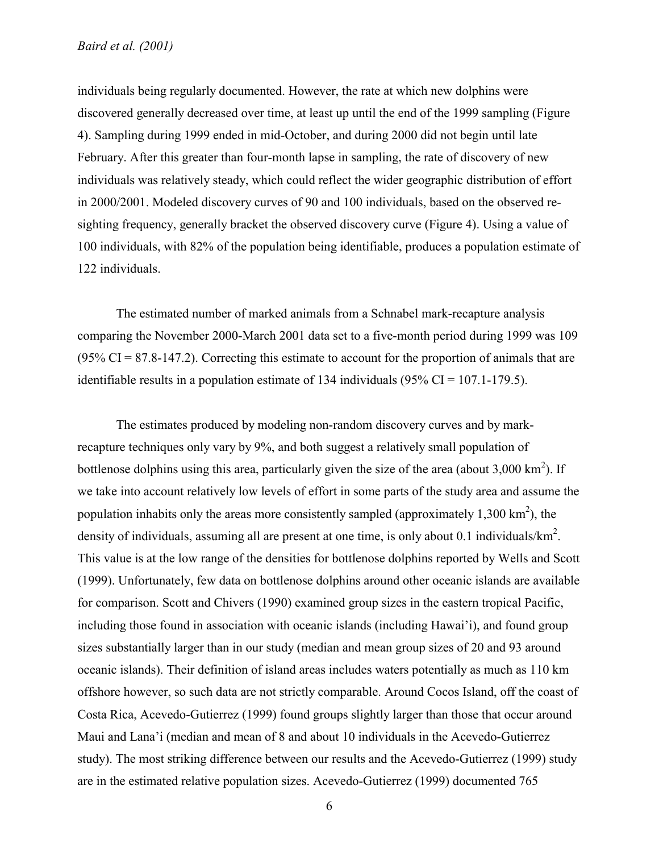individuals being regularly documented. However, the rate at which new dolphins were discovered generally decreased over time, at least up until the end of the 1999 sampling (Figure 4). Sampling during 1999 ended in mid-October, and during 2000 did not begin until late February. After this greater than four-month lapse in sampling, the rate of discovery of new individuals was relatively steady, which could reflect the wider geographic distribution of effort in 2000/2001. Modeled discovery curves of 90 and 100 individuals, based on the observed resighting frequency, generally bracket the observed discovery curve (Figure 4). Using a value of 100 individuals, with 82% of the population being identifiable, produces a population estimate of 122 individuals.

The estimated number of marked animals from a Schnabel mark-recapture analysis comparing the November 2000-March 2001 data set to a five-month period during 1999 was 109  $(95\% \text{ CI} = 87.8-147.2)$ . Correcting this estimate to account for the proportion of animals that are identifiable results in a population estimate of 134 individuals  $(95\% \text{ CI} = 107.1 \text{-} 179.5)$ .

The estimates produced by modeling non-random discovery curves and by markrecapture techniques only vary by 9%, and both suggest a relatively small population of bottlenose dolphins using this area, particularly given the size of the area (about  $3,000 \text{ km}^2$ ). If we take into account relatively low levels of effort in some parts of the study area and assume the population inhabits only the areas more consistently sampled (approximately 1,300 km<sup>2</sup>), the density of individuals, assuming all are present at one time, is only about 0.1 individuals/ $km^2$ . This value is at the low range of the densities for bottlenose dolphins reported by Wells and Scott (1999). Unfortunately, few data on bottlenose dolphins around other oceanic islands are available for comparison. Scott and Chivers (1990) examined group sizes in the eastern tropical Pacific, including those found in association with oceanic islands (including Hawai'i), and found group sizes substantially larger than in our study (median and mean group sizes of 20 and 93 around oceanic islands). Their definition of island areas includes waters potentially as much as 110 km offshore however, so such data are not strictly comparable. Around Cocos Island, off the coast of Costa Rica, Acevedo-Gutierrez (1999) found groups slightly larger than those that occur around Maui and Lana'i (median and mean of 8 and about 10 individuals in the Acevedo-Gutierrez study). The most striking difference between our results and the Acevedo-Gutierrez (1999) study are in the estimated relative population sizes. Acevedo-Gutierrez (1999) documented 765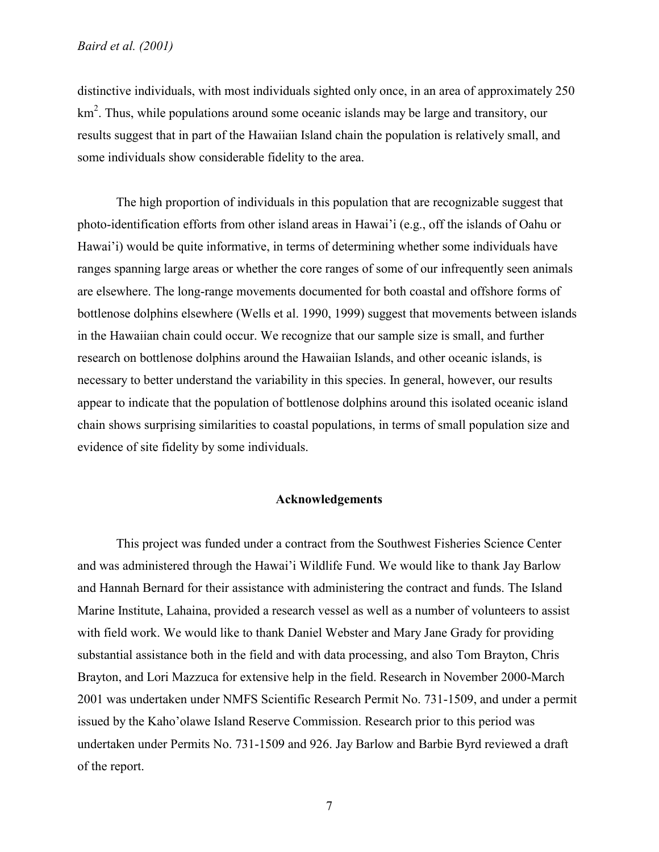distinctive individuals, with most individuals sighted only once, in an area of approximately 250 km<sup>2</sup>. Thus, while populations around some oceanic islands may be large and transitory, our results suggest that in part of the Hawaiian Island chain the population is relatively small, and some individuals show considerable fidelity to the area.

The high proportion of individuals in this population that are recognizable suggest that photo-identification efforts from other island areas in Hawai'i (e.g., off the islands of Oahu or Hawai'i) would be quite informative, in terms of determining whether some individuals have ranges spanning large areas or whether the core ranges of some of our infrequently seen animals are elsewhere. The long-range movements documented for both coastal and offshore forms of bottlenose dolphins elsewhere (Wells et al. 1990, 1999) suggest that movements between islands in the Hawaiian chain could occur. We recognize that our sample size is small, and further research on bottlenose dolphins around the Hawaiian Islands, and other oceanic islands, is necessary to better understand the variability in this species. In general, however, our results appear to indicate that the population of bottlenose dolphins around this isolated oceanic island chain shows surprising similarities to coastal populations, in terms of small population size and evidence of site fidelity by some individuals.

# **Acknowledgements**

This project was funded under a contract from the Southwest Fisheries Science Center and was administered through the Hawai'i Wildlife Fund. We would like to thank Jay Barlow and Hannah Bernard for their assistance with administering the contract and funds. The Island Marine Institute, Lahaina, provided a research vessel as well as a number of volunteers to assist with field work. We would like to thank Daniel Webster and Mary Jane Grady for providing substantial assistance both in the field and with data processing, and also Tom Brayton, Chris Brayton, and Lori Mazzuca for extensive help in the field. Research in November 2000-March 2001 was undertaken under NMFS Scientific Research Permit No. 731-1509, and under a permit issued by the Kaho'olawe Island Reserve Commission. Research prior to this period was undertaken under Permits No. 731-1509 and 926. Jay Barlow and Barbie Byrd reviewed a draft of the report.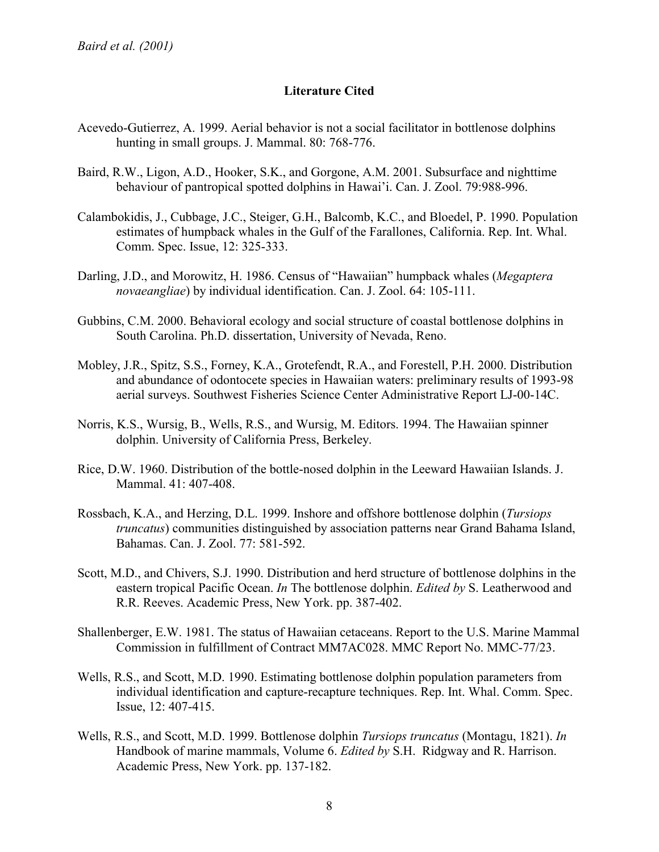# **Literature Cited**

- Acevedo-Gutierrez, A. 1999. Aerial behavior is not a social facilitator in bottlenose dolphins hunting in small groups. J. Mammal. 80: 768-776.
- Baird, R.W., Ligon, A.D., Hooker, S.K., and Gorgone, A.M. 2001. Subsurface and nighttime behaviour of pantropical spotted dolphins in Hawai'i. Can. J. Zool. 79:988-996.
- Calambokidis, J., Cubbage, J.C., Steiger, G.H., Balcomb, K.C., and Bloedel, P. 1990. Population estimates of humpback whales in the Gulf of the Farallones, California. Rep. Int. Whal. Comm. Spec. Issue, 12: 325-333.
- Darling, J.D., and Morowitz, H. 1986. Census of "Hawaiian" humpback whales (*Megaptera novaeangliae*) by individual identification. Can. J. Zool. 64: 105-111.
- Gubbins, C.M. 2000. Behavioral ecology and social structure of coastal bottlenose dolphins in South Carolina. Ph.D. dissertation, University of Nevada, Reno.
- Mobley, J.R., Spitz, S.S., Forney, K.A., Grotefendt, R.A., and Forestell, P.H. 2000. Distribution and abundance of odontocete species in Hawaiian waters: preliminary results of 1993-98 aerial surveys. Southwest Fisheries Science Center Administrative Report LJ-00-14C.
- Norris, K.S., Wursig, B., Wells, R.S., and Wursig, M. Editors. 1994. The Hawaiian spinner dolphin. University of California Press, Berkeley.
- Rice, D.W. 1960. Distribution of the bottle-nosed dolphin in the Leeward Hawaiian Islands. J. Mammal. 41: 407-408.
- Rossbach, K.A., and Herzing, D.L. 1999. Inshore and offshore bottlenose dolphin (*Tursiops truncatus*) communities distinguished by association patterns near Grand Bahama Island, Bahamas. Can. J. Zool. 77: 581-592.
- Scott, M.D., and Chivers, S.J. 1990. Distribution and herd structure of bottlenose dolphins in the eastern tropical Pacific Ocean. *In* The bottlenose dolphin. *Edited by* S. Leatherwood and R.R. Reeves. Academic Press, New York. pp. 387-402.
- Shallenberger, E.W. 1981. The status of Hawaiian cetaceans. Report to the U.S. Marine Mammal Commission in fulfillment of Contract MM7AC028. MMC Report No. MMC-77/23.
- Wells, R.S., and Scott, M.D. 1990. Estimating bottlenose dolphin population parameters from individual identification and capture-recapture techniques. Rep. Int. Whal. Comm. Spec. Issue, 12: 407-415.
- Wells, R.S., and Scott, M.D. 1999. Bottlenose dolphin *Tursiops truncatus* (Montagu, 1821). *In* Handbook of marine mammals, Volume 6. *Edited by* S.H. Ridgway and R. Harrison. Academic Press, New York. pp. 137-182.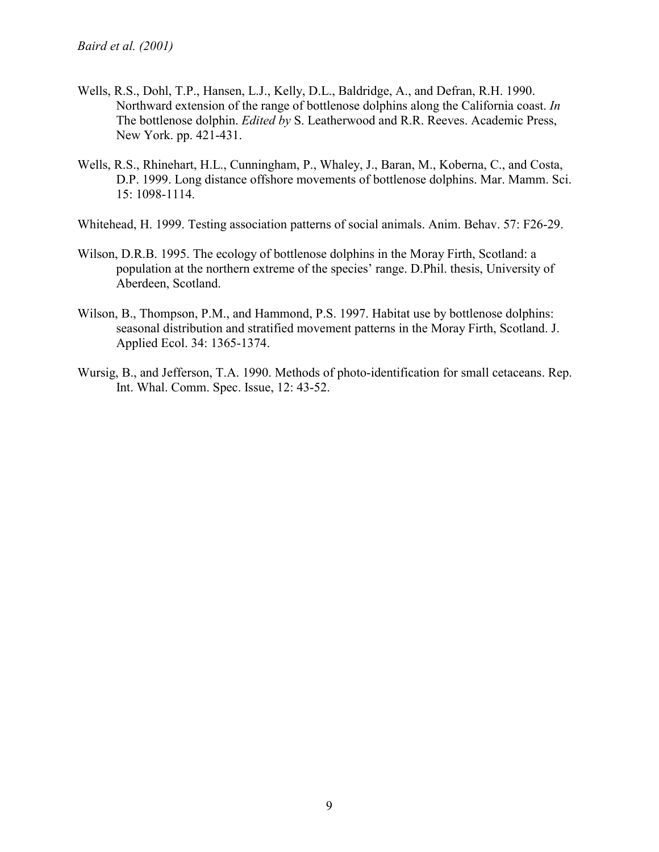- Wells, R.S., Dohl, T.P., Hansen, L.J., Kelly, D.L., Baldridge, A., and Defran, R.H. 1990. Northward extension of the range of bottlenose dolphins along the California coast. *In* The bottlenose dolphin. *Edited by* S. Leatherwood and R.R. Reeves. Academic Press, New York. pp. 421-431.
- Wells, R.S., Rhinehart, H.L., Cunningham, P., Whaley, J., Baran, M., Koberna, C., and Costa, D.P. 1999. Long distance offshore movements of bottlenose dolphins. Mar. Mamm. Sci. 15: 1098-1114.
- Whitehead, H. 1999. Testing association patterns of social animals. Anim. Behav. 57: F26-29.
- Wilson, D.R.B. 1995. The ecology of bottlenose dolphins in the Moray Firth, Scotland: a population at the northern extreme of the species' range. D.Phil. thesis, University of Aberdeen, Scotland.
- Wilson, B., Thompson, P.M., and Hammond, P.S. 1997. Habitat use by bottlenose dolphins: seasonal distribution and stratified movement patterns in the Moray Firth, Scotland. J. Applied Ecol. 34: 1365-1374.
- Wursig, B., and Jefferson, T.A. 1990. Methods of photo-identification for small cetaceans. Rep. Int. Whal. Comm. Spec. Issue, 12: 43-52.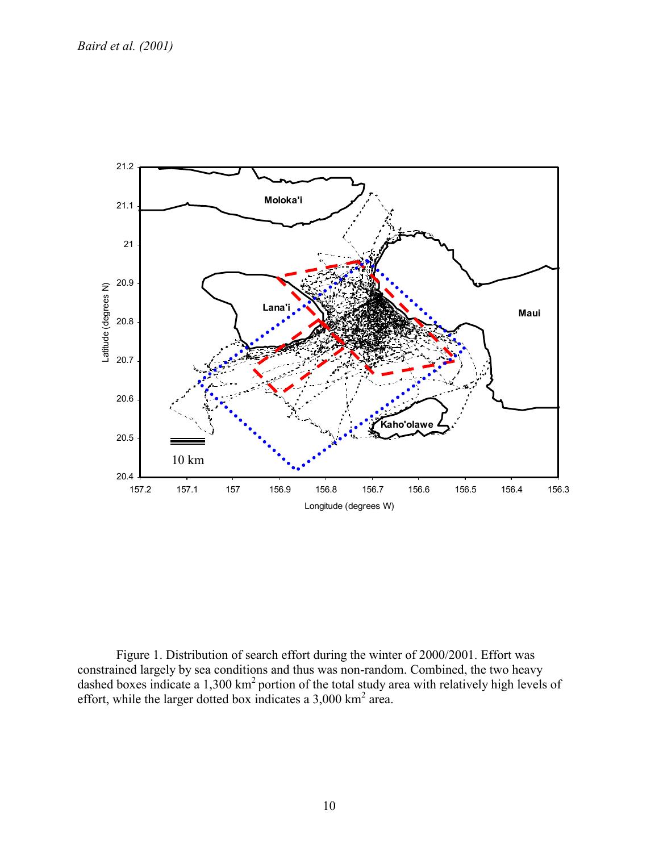

Figure 1. Distribution of search effort during the winter of 2000/2001. Effort was constrained largely by sea conditions and thus was non-random. Combined, the two heavy dashed boxes indicate a 1,300 km<sup>2</sup> portion of the total study area with relatively high levels of effort, while the larger dotted box indicates a  $3,000 \text{ km}^2$  area.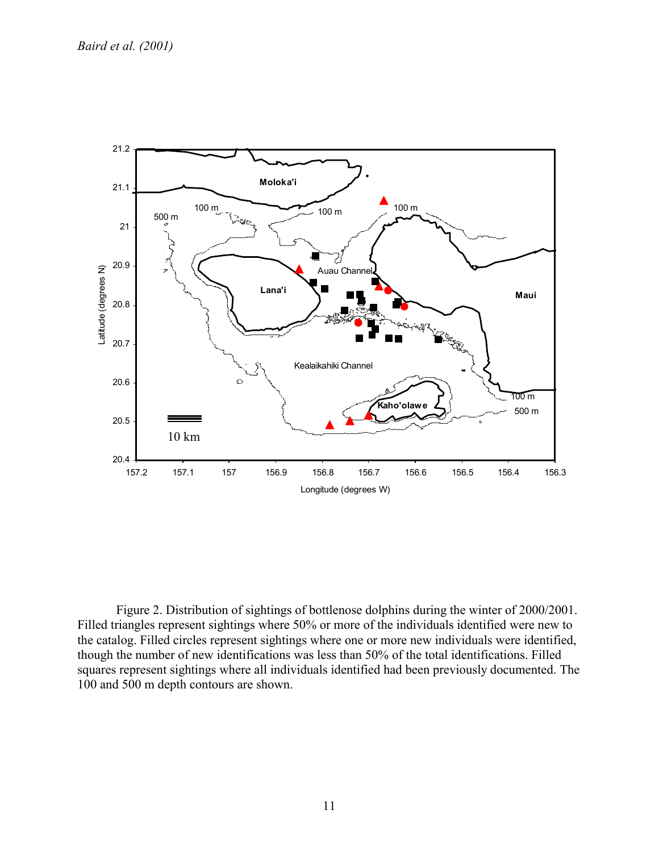

Figure 2. Distribution of sightings of bottlenose dolphins during the winter of 2000/2001. Filled triangles represent sightings where 50% or more of the individuals identified were new to the catalog. Filled circles represent sightings where one or more new individuals were identified, though the number of new identifications was less than 50% of the total identifications. Filled squares represent sightings where all individuals identified had been previously documented. The 100 and 500 m depth contours are shown.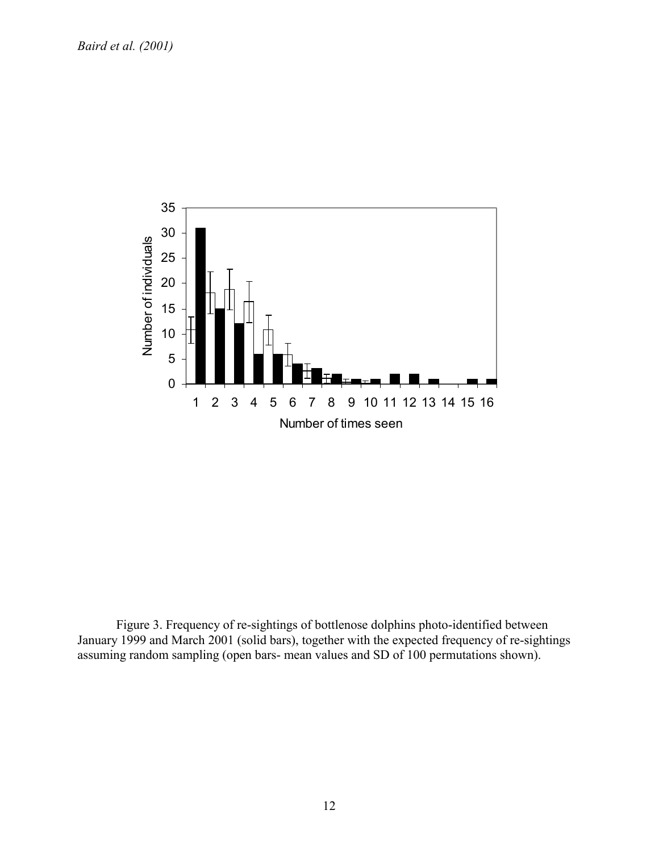

Figure 3. Frequency of re-sightings of bottlenose dolphins photo-identified between January 1999 and March 2001 (solid bars), together with the expected frequency of re-sightings assuming random sampling (open bars- mean values and SD of 100 permutations shown).